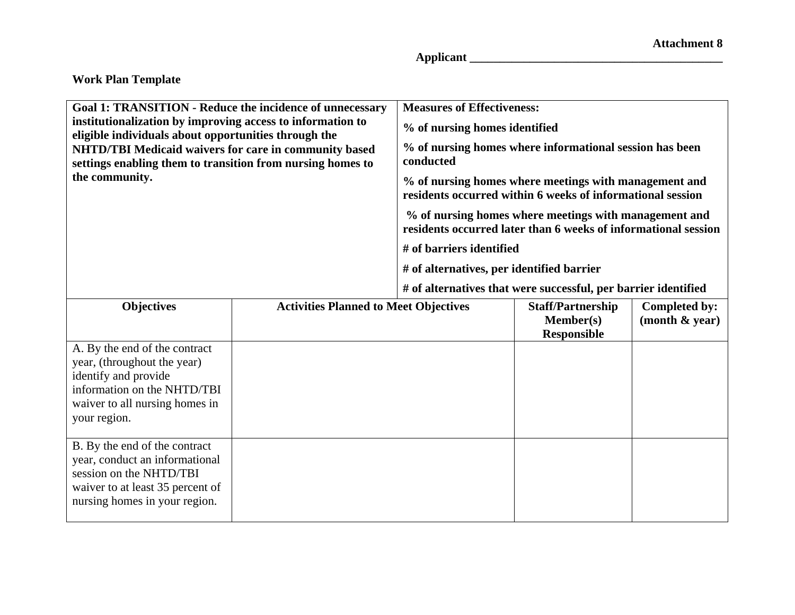**Applicant \_\_\_\_\_\_\_\_\_\_\_\_\_\_\_\_\_\_\_\_\_\_\_\_\_\_\_\_\_\_\_\_\_\_\_\_\_\_\_\_\_\_** 

| <b>Goal 1: TRANSITION - Reduce the incidence of unnecessary</b><br>institutionalization by improving access to information to<br>eligible individuals about opportunities through the<br>NHTD/TBI Medicaid waivers for care in community based<br>settings enabling them to transition from nursing homes to<br>the community. |                                              | <b>Measures of Effectiveness:</b><br>% of nursing homes identified<br>% of nursing homes where informational session has been<br>conducted<br>% of nursing homes where meetings with management and<br>residents occurred within 6 weeks of informational session<br>% of nursing homes where meetings with management and<br>residents occurred later than 6 weeks of informational session<br># of barriers identified<br># of alternatives, per identified barrier<br># of alternatives that were successful, per barrier identified |                                                             |                                    |
|--------------------------------------------------------------------------------------------------------------------------------------------------------------------------------------------------------------------------------------------------------------------------------------------------------------------------------|----------------------------------------------|-----------------------------------------------------------------------------------------------------------------------------------------------------------------------------------------------------------------------------------------------------------------------------------------------------------------------------------------------------------------------------------------------------------------------------------------------------------------------------------------------------------------------------------------|-------------------------------------------------------------|------------------------------------|
| <b>Objectives</b><br>A. By the end of the contract<br>year, (throughout the year)<br>identify and provide<br>information on the NHTD/TBI<br>waiver to all nursing homes in<br>your region.                                                                                                                                     | <b>Activities Planned to Meet Objectives</b> |                                                                                                                                                                                                                                                                                                                                                                                                                                                                                                                                         | <b>Staff/Partnership</b><br>Member(s)<br><b>Responsible</b> | Completed by:<br>(month $\&$ year) |
| B. By the end of the contract<br>year, conduct an informational<br>session on the NHTD/TBI<br>waiver to at least 35 percent of<br>nursing homes in your region.                                                                                                                                                                |                                              |                                                                                                                                                                                                                                                                                                                                                                                                                                                                                                                                         |                                                             |                                    |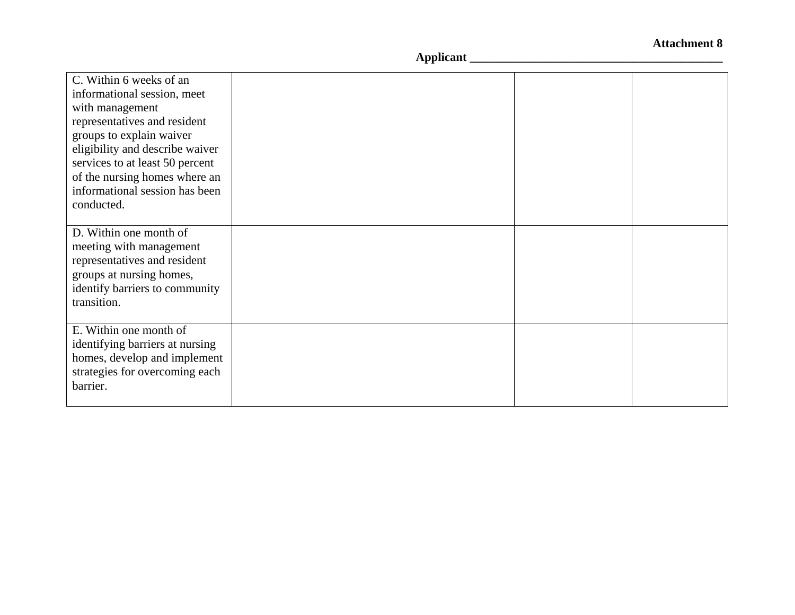| C. Within 6 weeks of an<br>informational session, meet<br>with management<br>representatives and resident<br>groups to explain waiver<br>eligibility and describe waiver<br>services to at least 50 percent<br>of the nursing homes where an<br>informational session has been |  |  |
|--------------------------------------------------------------------------------------------------------------------------------------------------------------------------------------------------------------------------------------------------------------------------------|--|--|
| conducted.                                                                                                                                                                                                                                                                     |  |  |
| D. Within one month of<br>meeting with management<br>representatives and resident<br>groups at nursing homes,<br>identify barriers to community<br>transition.                                                                                                                 |  |  |
| E. Within one month of<br>identifying barriers at nursing<br>homes, develop and implement<br>strategies for overcoming each<br>barrier.                                                                                                                                        |  |  |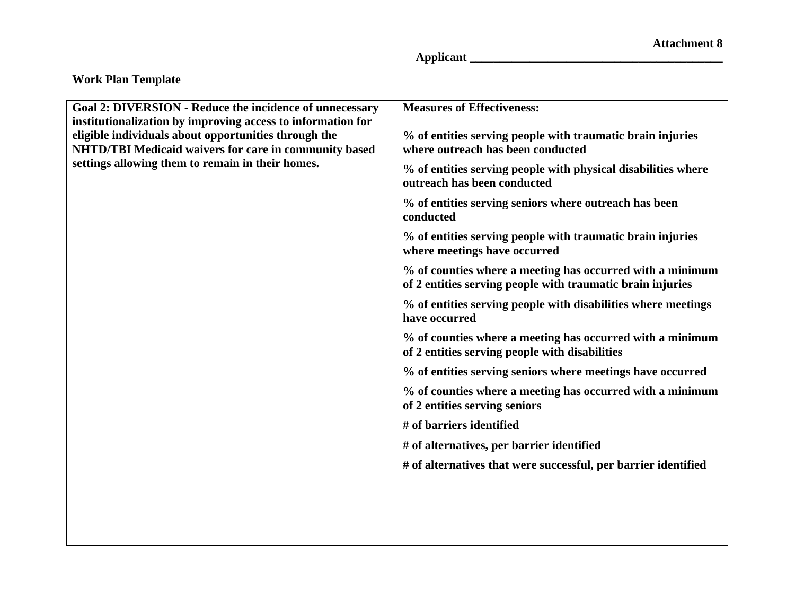**Applicant \_\_\_\_\_\_\_\_\_\_\_\_\_\_\_\_\_\_\_\_\_\_\_\_\_\_\_\_\_\_\_\_\_\_\_\_\_\_\_\_\_\_** 

| <b>Goal 2: DIVERSION - Reduce the incidence of unnecessary</b>                                                                                                               | <b>Measures of Effectiveness:</b>                                                                                       |
|------------------------------------------------------------------------------------------------------------------------------------------------------------------------------|-------------------------------------------------------------------------------------------------------------------------|
| institutionalization by improving access to information for<br>eligible individuals about opportunities through the<br>NHTD/TBI Medicaid waivers for care in community based | % of entities serving people with traumatic brain injuries<br>where outreach has been conducted                         |
| settings allowing them to remain in their homes.                                                                                                                             | % of entities serving people with physical disabilities where<br>outreach has been conducted                            |
|                                                                                                                                                                              | % of entities serving seniors where outreach has been<br>conducted                                                      |
|                                                                                                                                                                              | % of entities serving people with traumatic brain injuries<br>where meetings have occurred                              |
|                                                                                                                                                                              | % of counties where a meeting has occurred with a minimum<br>of 2 entities serving people with traumatic brain injuries |
|                                                                                                                                                                              | % of entities serving people with disabilities where meetings<br>have occurred                                          |
|                                                                                                                                                                              | % of counties where a meeting has occurred with a minimum<br>of 2 entities serving people with disabilities             |
|                                                                                                                                                                              | % of entities serving seniors where meetings have occurred                                                              |
|                                                                                                                                                                              | % of counties where a meeting has occurred with a minimum<br>of 2 entities serving seniors                              |
|                                                                                                                                                                              | # of barriers identified                                                                                                |
|                                                                                                                                                                              | # of alternatives, per barrier identified                                                                               |
|                                                                                                                                                                              | # of alternatives that were successful, per barrier identified                                                          |
|                                                                                                                                                                              |                                                                                                                         |
|                                                                                                                                                                              |                                                                                                                         |
|                                                                                                                                                                              |                                                                                                                         |
|                                                                                                                                                                              |                                                                                                                         |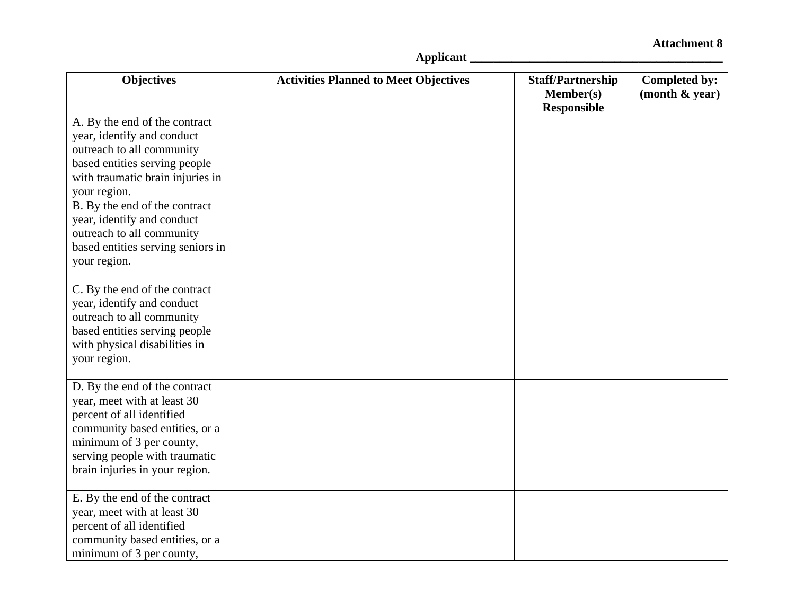| <b>Objectives</b>                                                                                                                                                                                                                                                         | <b>Activities Planned to Meet Objectives</b> | <b>Staff/Partnership</b><br><b>Member(s)</b> | Completed by:<br>(month & year) |
|---------------------------------------------------------------------------------------------------------------------------------------------------------------------------------------------------------------------------------------------------------------------------|----------------------------------------------|----------------------------------------------|---------------------------------|
| A. By the end of the contract<br>year, identify and conduct<br>outreach to all community<br>based entities serving people<br>with traumatic brain injuries in<br>your region.<br>B. By the end of the contract<br>year, identify and conduct<br>outreach to all community |                                              | <b>Responsible</b>                           |                                 |
| based entities serving seniors in<br>your region.                                                                                                                                                                                                                         |                                              |                                              |                                 |
| C. By the end of the contract<br>year, identify and conduct<br>outreach to all community<br>based entities serving people<br>with physical disabilities in<br>your region.                                                                                                |                                              |                                              |                                 |
| D. By the end of the contract<br>year, meet with at least 30<br>percent of all identified<br>community based entities, or a<br>minimum of 3 per county,<br>serving people with traumatic<br>brain injuries in your region.                                                |                                              |                                              |                                 |
| E. By the end of the contract<br>year, meet with at least 30<br>percent of all identified<br>community based entities, or a<br>minimum of 3 per county,                                                                                                                   |                                              |                                              |                                 |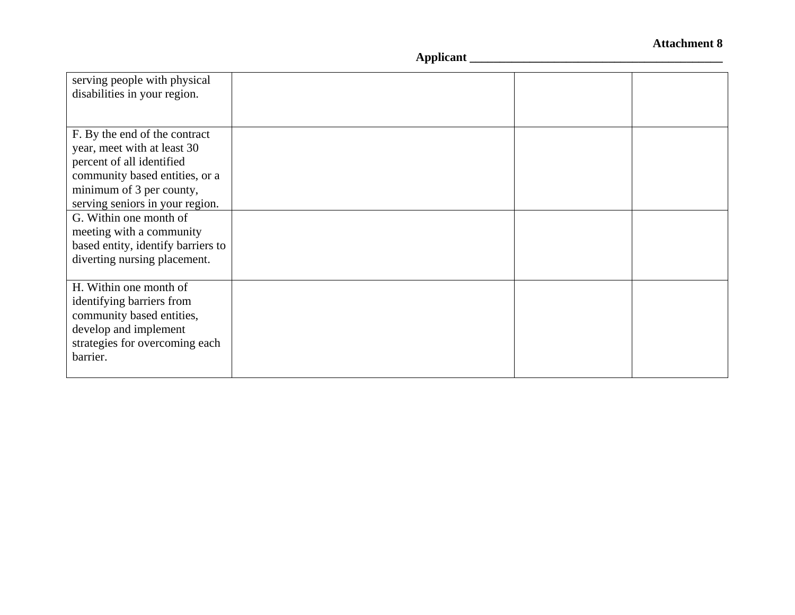| serving people with physical       |  |  |
|------------------------------------|--|--|
| disabilities in your region.       |  |  |
|                                    |  |  |
|                                    |  |  |
| F. By the end of the contract      |  |  |
| year, meet with at least 30        |  |  |
| percent of all identified          |  |  |
| community based entities, or a     |  |  |
| minimum of 3 per county,           |  |  |
| serving seniors in your region.    |  |  |
| G. Within one month of             |  |  |
| meeting with a community           |  |  |
| based entity, identify barriers to |  |  |
| diverting nursing placement.       |  |  |
|                                    |  |  |
| H. Within one month of             |  |  |
| identifying barriers from          |  |  |
| community based entities,          |  |  |
| develop and implement              |  |  |
| strategies for overcoming each     |  |  |
| barrier.                           |  |  |
|                                    |  |  |
|                                    |  |  |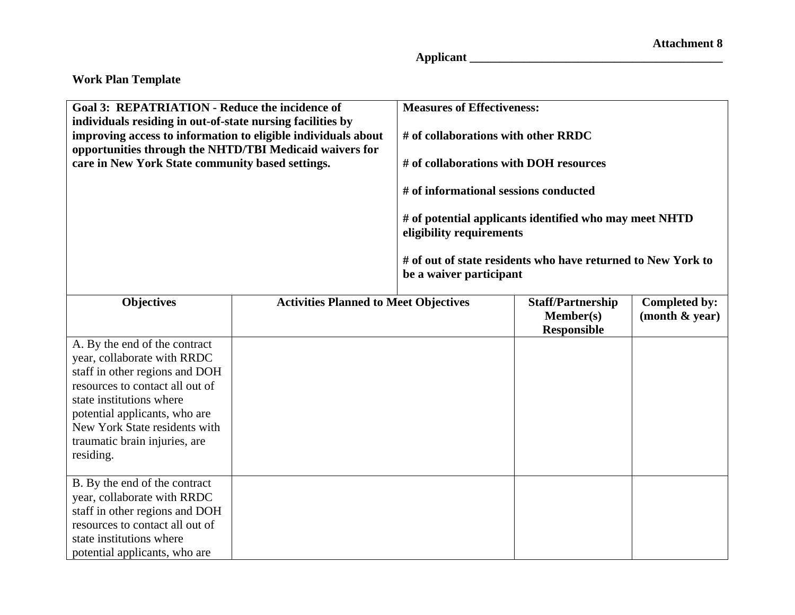| <b>Goal 3: REPATRIATION - Reduce the incidence of</b><br>individuals residing in out-of-state nursing facilities by<br>improving access to information to eligible individuals about<br>opportunities through the NHTD/TBI Medicaid waivers for<br>care in New York State community based settings. |                                              | <b>Measures of Effectiveness:</b><br># of collaborations with other RRDC<br># of collaborations with DOH resources<br># of informational sessions conducted<br># of potential applicants identified who may meet NHTD<br>eligibility requirements<br># of out of state residents who have returned to New York to<br>be a waiver participant |                                                                    |                                        |
|-----------------------------------------------------------------------------------------------------------------------------------------------------------------------------------------------------------------------------------------------------------------------------------------------------|----------------------------------------------|----------------------------------------------------------------------------------------------------------------------------------------------------------------------------------------------------------------------------------------------------------------------------------------------------------------------------------------------|--------------------------------------------------------------------|----------------------------------------|
| <b>Objectives</b>                                                                                                                                                                                                                                                                                   | <b>Activities Planned to Meet Objectives</b> |                                                                                                                                                                                                                                                                                                                                              | <b>Staff/Partnership</b><br><b>Member(s)</b><br><b>Responsible</b> | <b>Completed by:</b><br>(month & year) |
| A. By the end of the contract<br>year, collaborate with RRDC<br>staff in other regions and DOH<br>resources to contact all out of<br>state institutions where<br>potential applicants, who are<br>New York State residents with<br>traumatic brain injuries, are<br>residing.                       |                                              |                                                                                                                                                                                                                                                                                                                                              |                                                                    |                                        |
| B. By the end of the contract<br>year, collaborate with RRDC<br>staff in other regions and DOH<br>resources to contact all out of<br>state institutions where<br>potential applicants, who are                                                                                                      |                                              |                                                                                                                                                                                                                                                                                                                                              |                                                                    |                                        |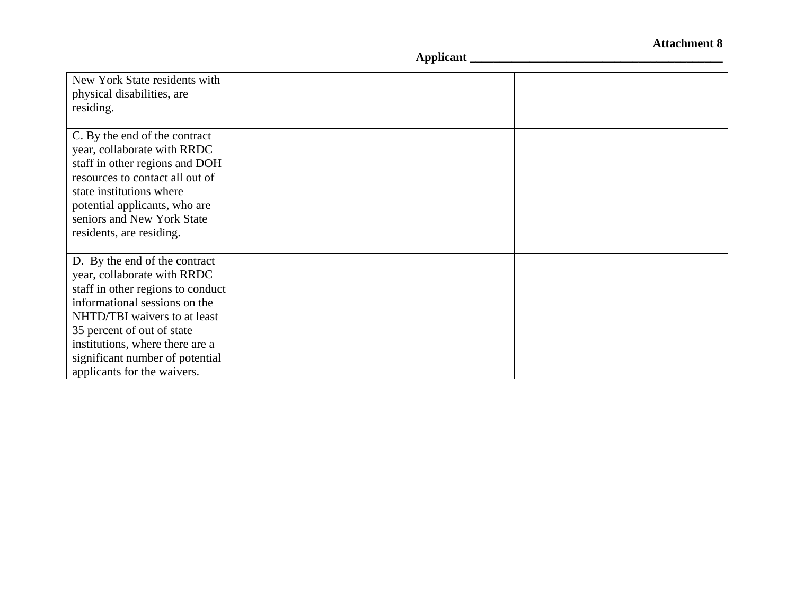| New York State residents with<br>physical disabilities, are<br>residing.                                                                                                                                                                                                                              |  |  |
|-------------------------------------------------------------------------------------------------------------------------------------------------------------------------------------------------------------------------------------------------------------------------------------------------------|--|--|
| C. By the end of the contract<br>year, collaborate with RRDC<br>staff in other regions and DOH<br>resources to contact all out of<br>state institutions where<br>potential applicants, who are<br>seniors and New York State<br>residents, are residing.                                              |  |  |
| D. By the end of the contract<br>year, collaborate with RRDC<br>staff in other regions to conduct<br>informational sessions on the<br>NHTD/TBI waivers to at least<br>35 percent of out of state<br>institutions, where there are a<br>significant number of potential<br>applicants for the waivers. |  |  |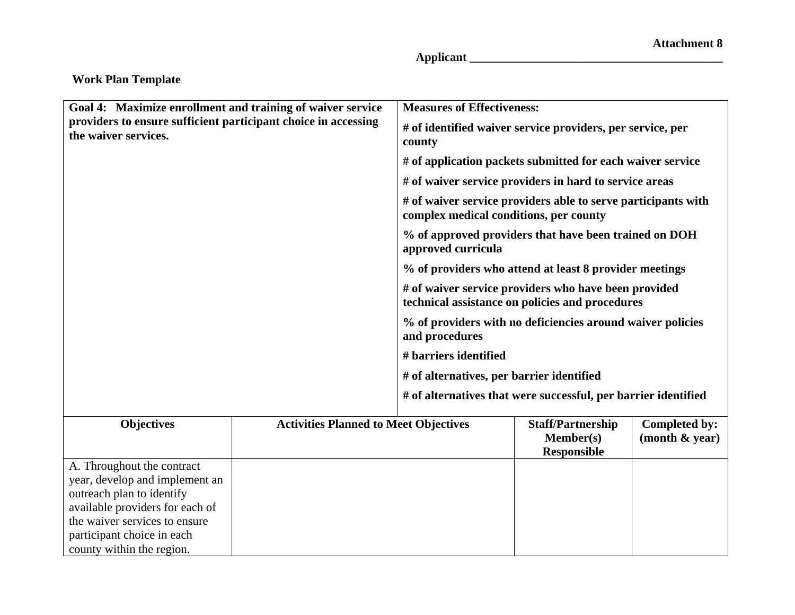| Goal 4: Maximize enrollment and training of waiver service                             |                                              | <b>Measures of Effectiveness:</b>                                            |                                                                                                         |                                           |
|----------------------------------------------------------------------------------------|----------------------------------------------|------------------------------------------------------------------------------|---------------------------------------------------------------------------------------------------------|-------------------------------------------|
| providers to ensure sufficient participant choice in accessing<br>the waiver services. |                                              | # of identified waiver service providers, per service, per<br>county         |                                                                                                         |                                           |
|                                                                                        |                                              |                                                                              | # of application packets submitted for each waiver service                                              |                                           |
|                                                                                        |                                              |                                                                              | # of waiver service providers in hard to service areas                                                  |                                           |
|                                                                                        |                                              | complex medical conditions, per county                                       | # of waiver service providers able to serve participants with                                           |                                           |
|                                                                                        |                                              | approved curricula                                                           | % of approved providers that have been trained on DOH                                                   |                                           |
|                                                                                        |                                              |                                                                              | % of providers who attend at least 8 provider meetings                                                  |                                           |
|                                                                                        |                                              |                                                                              | # of waiver service providers who have been provided<br>technical assistance on policies and procedures |                                           |
|                                                                                        |                                              | % of providers with no deficiencies around waiver policies<br>and procedures |                                                                                                         |                                           |
|                                                                                        |                                              | # barriers identified                                                        |                                                                                                         |                                           |
|                                                                                        |                                              | # of alternatives, per barrier identified                                    |                                                                                                         |                                           |
|                                                                                        |                                              |                                                                              | # of alternatives that were successful, per barrier identified                                          |                                           |
| <b>Objectives</b>                                                                      | <b>Activities Planned to Meet Objectives</b> |                                                                              | <b>Staff/Partnership</b><br>Member(s)<br><b>Responsible</b>                                             | <b>Completed by:</b><br>(month $\&$ year) |
| A. Throughout the contract                                                             |                                              |                                                                              |                                                                                                         |                                           |
| year, develop and implement an                                                         |                                              |                                                                              |                                                                                                         |                                           |
| outreach plan to identify                                                              |                                              |                                                                              |                                                                                                         |                                           |
| available providers for each of                                                        |                                              |                                                                              |                                                                                                         |                                           |
| the waiver services to ensure                                                          |                                              |                                                                              |                                                                                                         |                                           |
| participant choice in each                                                             |                                              |                                                                              |                                                                                                         |                                           |
| county within the region.                                                              |                                              |                                                                              |                                                                                                         |                                           |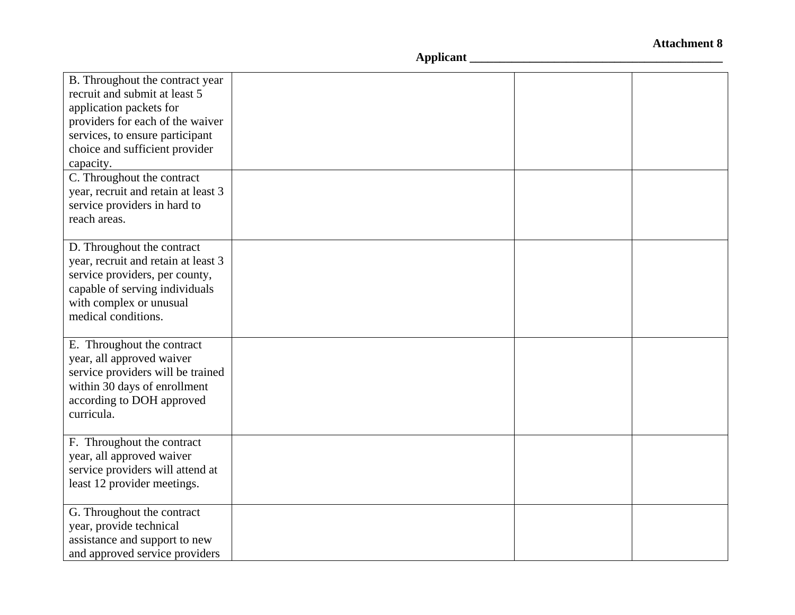| B. Throughout the contract year<br>recruit and submit at least 5<br>application packets for<br>providers for each of the waiver<br>services, to ensure participant<br>choice and sufficient provider<br>capacity. |  |  |
|-------------------------------------------------------------------------------------------------------------------------------------------------------------------------------------------------------------------|--|--|
| C. Throughout the contract<br>year, recruit and retain at least 3<br>service providers in hard to<br>reach areas.                                                                                                 |  |  |
| D. Throughout the contract<br>year, recruit and retain at least 3<br>service providers, per county,<br>capable of serving individuals<br>with complex or unusual<br>medical conditions.                           |  |  |
| E. Throughout the contract<br>year, all approved waiver<br>service providers will be trained<br>within 30 days of enrollment<br>according to DOH approved<br>curricula.                                           |  |  |
| F. Throughout the contract<br>year, all approved waiver<br>service providers will attend at<br>least 12 provider meetings.                                                                                        |  |  |
| G. Throughout the contract<br>year, provide technical<br>assistance and support to new<br>and approved service providers                                                                                          |  |  |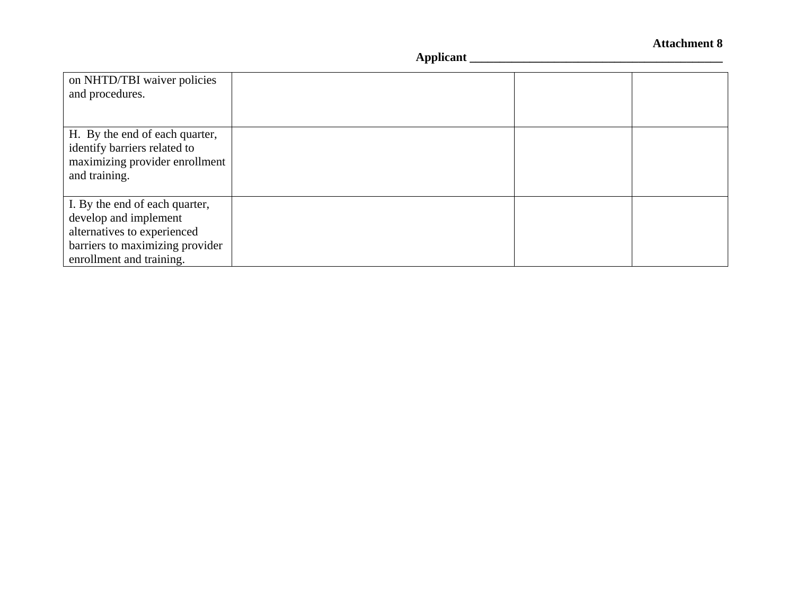| on NHTD/TBI waiver policies     |  |  |
|---------------------------------|--|--|
| and procedures.                 |  |  |
|                                 |  |  |
| H. By the end of each quarter,  |  |  |
| identify barriers related to    |  |  |
| maximizing provider enrollment  |  |  |
| and training.                   |  |  |
|                                 |  |  |
| I. By the end of each quarter,  |  |  |
| develop and implement           |  |  |
| alternatives to experienced     |  |  |
| barriers to maximizing provider |  |  |
| enrollment and training.        |  |  |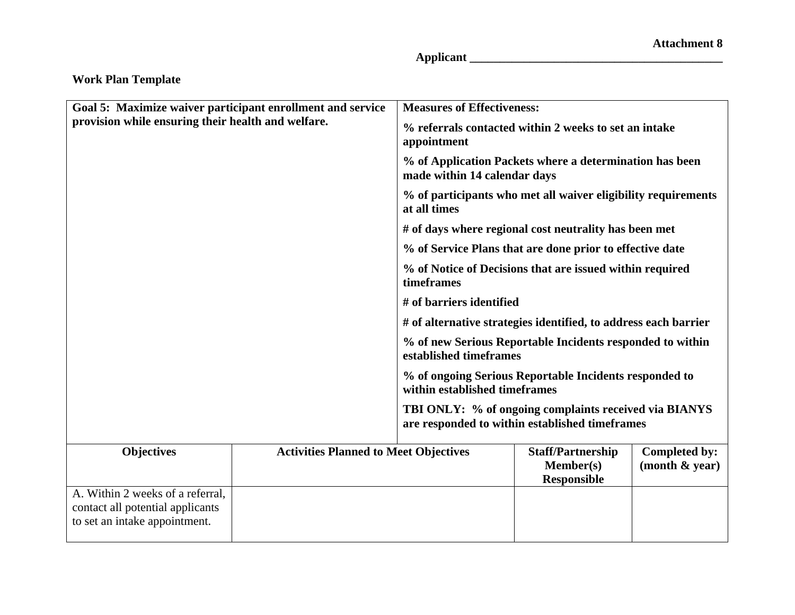| Goal 5: Maximize waiver participant enrollment and service<br>provision while ensuring their health and welfare. |                                              | <b>Measures of Effectiveness:</b>                                                                                                                                              |                                                                                                         |                                 |  |
|------------------------------------------------------------------------------------------------------------------|----------------------------------------------|--------------------------------------------------------------------------------------------------------------------------------------------------------------------------------|---------------------------------------------------------------------------------------------------------|---------------------------------|--|
|                                                                                                                  |                                              | appointment                                                                                                                                                                    | % referrals contacted within 2 weeks to set an intake                                                   |                                 |  |
|                                                                                                                  |                                              | made within 14 calendar days                                                                                                                                                   | % of Application Packets where a determination has been                                                 |                                 |  |
|                                                                                                                  |                                              | % of participants who met all waiver eligibility requirements<br>at all times                                                                                                  |                                                                                                         |                                 |  |
|                                                                                                                  |                                              |                                                                                                                                                                                | # of days where regional cost neutrality has been met                                                   |                                 |  |
|                                                                                                                  |                                              |                                                                                                                                                                                | % of Service Plans that are done prior to effective date                                                |                                 |  |
|                                                                                                                  |                                              | timeframes                                                                                                                                                                     | % of Notice of Decisions that are issued within required                                                |                                 |  |
|                                                                                                                  |                                              | # of barriers identified                                                                                                                                                       |                                                                                                         |                                 |  |
|                                                                                                                  |                                              | # of alternative strategies identified, to address each barrier                                                                                                                |                                                                                                         |                                 |  |
|                                                                                                                  |                                              | % of new Serious Reportable Incidents responded to within<br>established timeframes<br>% of ongoing Serious Reportable Incidents responded to<br>within established timeframes |                                                                                                         |                                 |  |
|                                                                                                                  |                                              |                                                                                                                                                                                |                                                                                                         |                                 |  |
|                                                                                                                  |                                              |                                                                                                                                                                                | TBI ONLY: % of ongoing complaints received via BIANYS<br>are responded to within established timeframes |                                 |  |
| <b>Objectives</b>                                                                                                | <b>Activities Planned to Meet Objectives</b> |                                                                                                                                                                                | <b>Staff/Partnership</b><br>Member(s)<br><b>Responsible</b>                                             | Completed by:<br>(month & year) |  |
| A. Within 2 weeks of a referral,<br>contact all potential applicants<br>to set an intake appointment.            |                                              |                                                                                                                                                                                |                                                                                                         |                                 |  |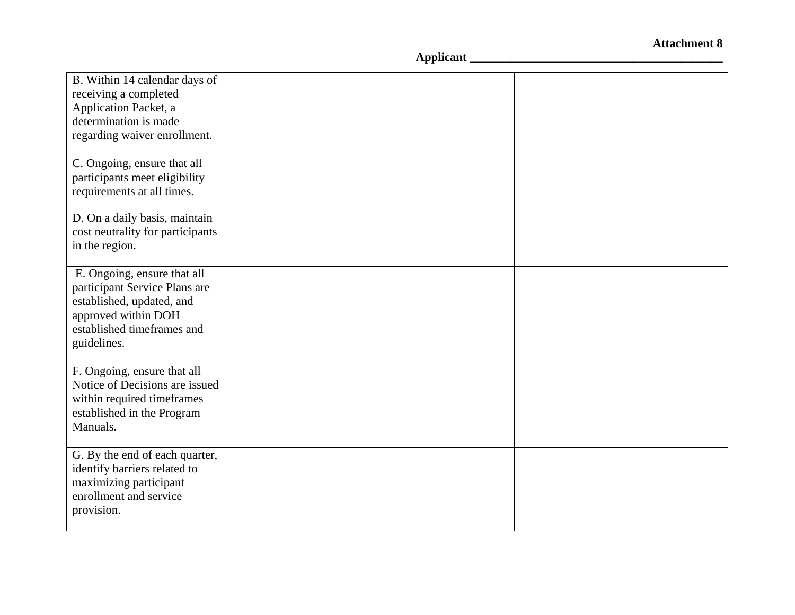| B. Within 14 calendar days of<br>receiving a completed<br>Application Packet, a<br>determination is made<br>regarding waiver enrollment.                      |  |  |
|---------------------------------------------------------------------------------------------------------------------------------------------------------------|--|--|
| C. Ongoing, ensure that all<br>participants meet eligibility<br>requirements at all times.                                                                    |  |  |
| D. On a daily basis, maintain<br>cost neutrality for participants<br>in the region.                                                                           |  |  |
| E. Ongoing, ensure that all<br>participant Service Plans are<br>established, updated, and<br>approved within DOH<br>established timeframes and<br>guidelines. |  |  |
| F. Ongoing, ensure that all<br>Notice of Decisions are issued<br>within required timeframes<br>established in the Program<br>Manuals.                         |  |  |
| G. By the end of each quarter,<br>identify barriers related to<br>maximizing participant<br>enrollment and service<br>provision.                              |  |  |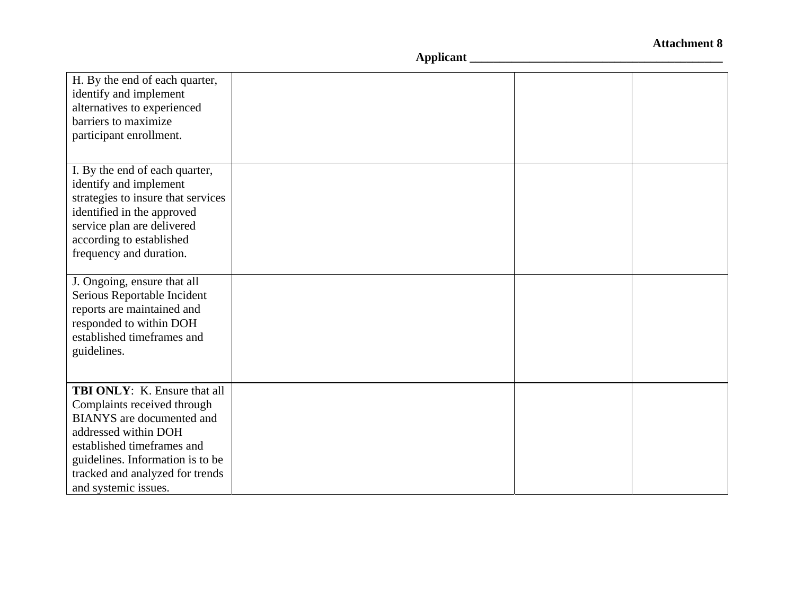| H. By the end of each quarter,<br>identify and implement |  |  |
|----------------------------------------------------------|--|--|
| alternatives to experienced                              |  |  |
| barriers to maximize                                     |  |  |
| participant enrollment.                                  |  |  |
|                                                          |  |  |
| I. By the end of each quarter,                           |  |  |
| identify and implement                                   |  |  |
| strategies to insure that services                       |  |  |
| identified in the approved                               |  |  |
| service plan are delivered                               |  |  |
| according to established                                 |  |  |
| frequency and duration.                                  |  |  |
|                                                          |  |  |
| J. Ongoing, ensure that all                              |  |  |
| Serious Reportable Incident                              |  |  |
| reports are maintained and                               |  |  |
| responded to within DOH                                  |  |  |
| established timeframes and                               |  |  |
| guidelines.                                              |  |  |
|                                                          |  |  |
| <b>TBI ONLY:</b> K. Ensure that all                      |  |  |
| Complaints received through                              |  |  |
| <b>BIANYS</b> are documented and                         |  |  |
| addressed within DOH                                     |  |  |
| established timeframes and                               |  |  |
| guidelines. Information is to be                         |  |  |
| tracked and analyzed for trends                          |  |  |
| and systemic issues.                                     |  |  |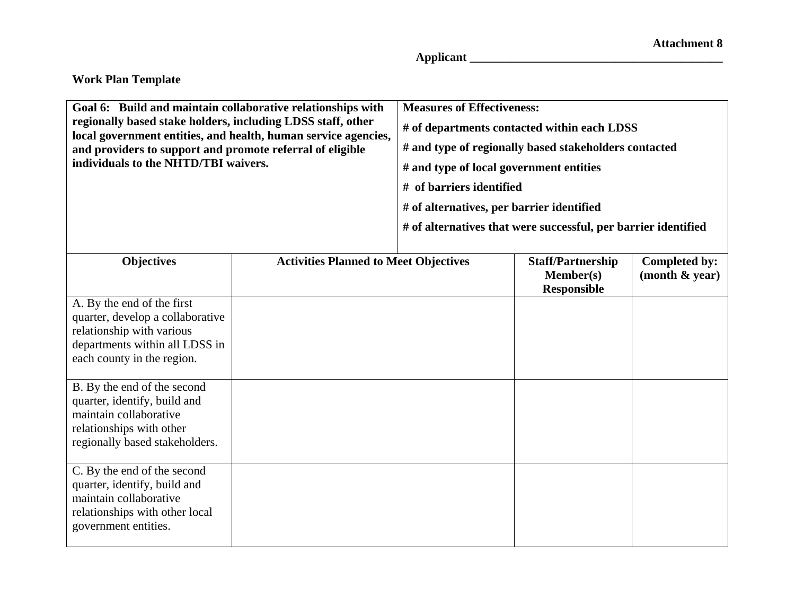| Goal 6: Build and maintain collaborative relationships with<br>regionally based stake holders, including LDSS staff, other<br>local government entities, and health, human service agencies,<br>and providers to support and promote referral of eligible<br>individuals to the NHTD/TBI waivers. |                                       | <b>Measures of Effectiveness:</b><br># of departments contacted within each LDSS<br># and type of regionally based stakeholders contacted<br># and type of local government entities<br># of barriers identified<br># of alternatives, per barrier identified<br># of alternatives that were successful, per barrier identified |                   |                        |
|---------------------------------------------------------------------------------------------------------------------------------------------------------------------------------------------------------------------------------------------------------------------------------------------------|---------------------------------------|---------------------------------------------------------------------------------------------------------------------------------------------------------------------------------------------------------------------------------------------------------------------------------------------------------------------------------|-------------------|------------------------|
| <b>Ohiectives</b>                                                                                                                                                                                                                                                                                 | Activities Planned to Meet Objectives |                                                                                                                                                                                                                                                                                                                                 | Staff/Partnershin | $Completed$ hy $\cdot$ |

| <b>Objectives</b>                                                                                                                                   | <b>Activities Planned to Meet Objectives</b> | <b>Staff/Partnership</b><br><b>Member(s)</b><br><b>Responsible</b> | <b>Completed by:</b><br>(month & year) |
|-----------------------------------------------------------------------------------------------------------------------------------------------------|----------------------------------------------|--------------------------------------------------------------------|----------------------------------------|
| A. By the end of the first<br>quarter, develop a collaborative<br>relationship with various<br>departments within all LDSS in                       |                                              |                                                                    |                                        |
| each county in the region.                                                                                                                          |                                              |                                                                    |                                        |
| B. By the end of the second<br>quarter, identify, build and<br>maintain collaborative<br>relationships with other<br>regionally based stakeholders. |                                              |                                                                    |                                        |
| C. By the end of the second<br>quarter, identify, build and<br>maintain collaborative<br>relationships with other local<br>government entities.     |                                              |                                                                    |                                        |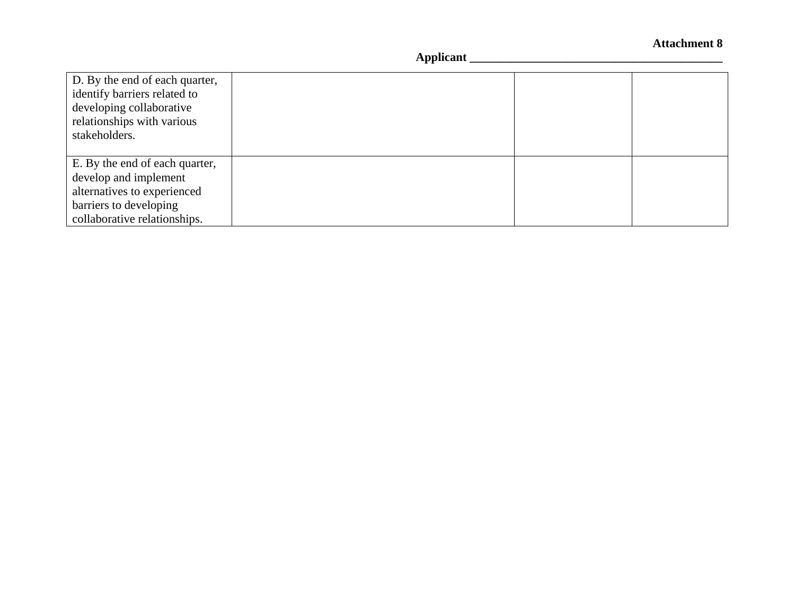| D. By the end of each quarter,<br>identify barriers related to<br>developing collaborative<br>relationships with various<br>stakeholders.        |  |  |
|--------------------------------------------------------------------------------------------------------------------------------------------------|--|--|
| E. By the end of each quarter,<br>develop and implement<br>alternatives to experienced<br>barriers to developing<br>collaborative relationships. |  |  |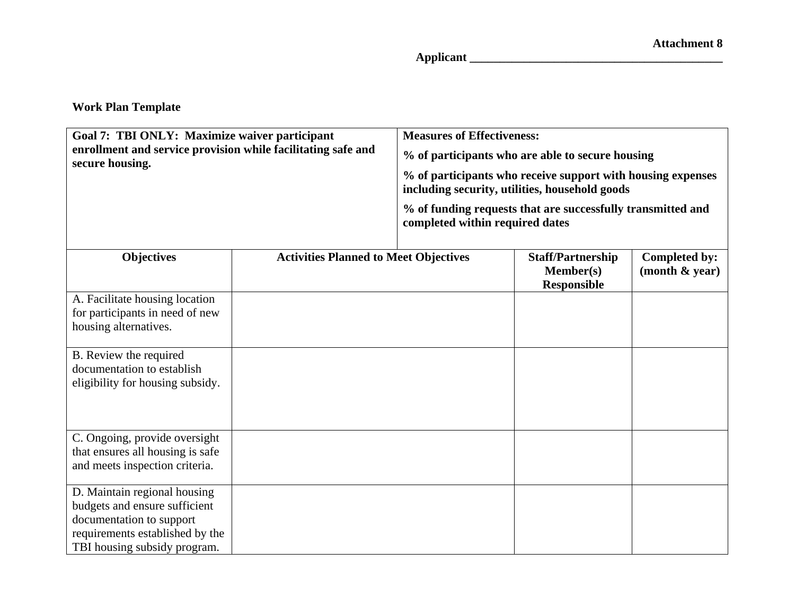| Goal 7: TBI ONLY: Maximize waiver participant<br>enrollment and service provision while facilitating safe and<br>secure housing.                             |                                              | <b>Measures of Effectiveness:</b><br>% of participants who are able to secure housing<br>% of participants who receive support with housing expenses<br>including security, utilities, household goods<br>% of funding requests that are successfully transmitted and<br>completed within required dates |                                                                    |                                    |
|--------------------------------------------------------------------------------------------------------------------------------------------------------------|----------------------------------------------|----------------------------------------------------------------------------------------------------------------------------------------------------------------------------------------------------------------------------------------------------------------------------------------------------------|--------------------------------------------------------------------|------------------------------------|
| <b>Objectives</b>                                                                                                                                            | <b>Activities Planned to Meet Objectives</b> |                                                                                                                                                                                                                                                                                                          | <b>Staff/Partnership</b><br><b>Member(s)</b><br><b>Responsible</b> | Completed by:<br>(month $\&$ year) |
| A. Facilitate housing location<br>for participants in need of new<br>housing alternatives.                                                                   |                                              |                                                                                                                                                                                                                                                                                                          |                                                                    |                                    |
| B. Review the required<br>documentation to establish<br>eligibility for housing subsidy.                                                                     |                                              |                                                                                                                                                                                                                                                                                                          |                                                                    |                                    |
| C. Ongoing, provide oversight<br>that ensures all housing is safe<br>and meets inspection criteria.                                                          |                                              |                                                                                                                                                                                                                                                                                                          |                                                                    |                                    |
| D. Maintain regional housing<br>budgets and ensure sufficient<br>documentation to support<br>requirements established by the<br>TBI housing subsidy program. |                                              |                                                                                                                                                                                                                                                                                                          |                                                                    |                                    |